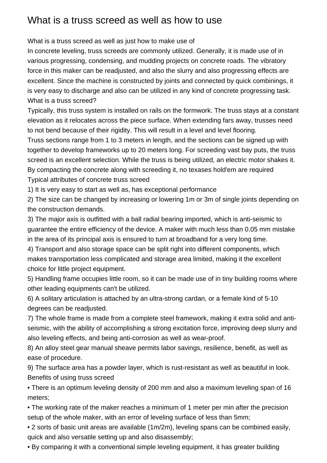## What is a truss screed as well as how to use

What is a truss screed as well as just how to make use of

In concrete leveling, truss screeds are commonly utilized. Generally, it is made use of in various progressing, condensing, and mudding projects on concrete roads. The vibratory force in this maker can be readjusted, and also the slurry and also progressing effects are excellent. Since the machine is constructed by joints and connected by quick combinings, it is very easy to discharge and also can be utilized in any kind of concrete progressing task. What is a truss screed?

Typically, this truss system is installed on rails on the formwork. The truss stays at a constant elevation as it relocates across the piece surface. When extending fars away, trusses need to not bend because of their rigidity. This will result in a level and level flooring.

Truss sections range from 1 to 3 meters in length, and the sections can be signed up with together to develop frameworks up to 20 meters long. For screeding vast bay puts, the truss screed is an excellent selection. While the truss is being utilized, an electric motor shakes it. By compacting the concrete along with screeding it, no texases hold'em are required Typical attributes of concrete truss screed

1) It is very easy to start as well as, has exceptional performance

2) The size can be changed by increasing or lowering 1m or 3m of single joints depending on the construction demands.

3) The major axis is outfitted with a ball radial bearing imported, which is anti-seismic to guarantee the entire efficiency of the device. A maker with much less than 0.05 mm mistake in the area of its principal axis is ensured to turn at broadband for a very long time.

4) Transport and also storage space can be split right into different components, which makes transportation less complicated and storage area limited, making it the excellent choice for little project equipment.

5) Handling frame occupies little room, so it can be made use of in tiny building rooms where other leading equipments can't be utilized.

6) A solitary articulation is attached by an ultra-strong cardan, or a female kind of 5-10 degrees can be readjusted.

7) The whole frame is made from a complete steel framework, making it extra solid and antiseismic, with the ability of accomplishing a strong excitation force, improving deep slurry and also leveling effects, and being anti-corrosion as well as wear-proof.

8) An alloy steel gear manual sheave permits labor savings, resilience, benefit, as well as ease of procedure.

9) The surface area has a powder layer, which is rust-resistant as well as beautiful in look. Benefits of using truss screed

• There is an optimum leveling density of 200 mm and also a maximum leveling span of 16 meters;

• The working rate of the maker reaches a minimum of 1 meter per min after the precision setup of the whole maker, with an error of leveling surface of less than 5mm;

• 2 sorts of basic unit areas are available (1m/2m), leveling spans can be combined easily, quick and also versatile setting up and also disassembly;

• By comparing it with a conventional simple leveling equipment, it has greater building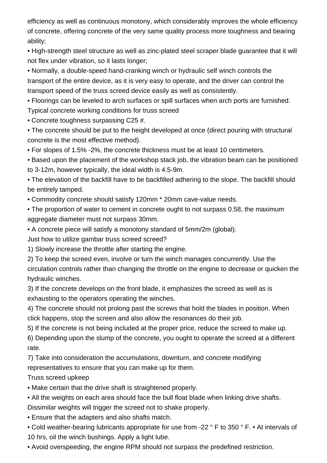efficiency as well as continuous monotony, which considerably improves the whole efficiency of concrete, offering concrete of the very same quality process more toughness and bearing ability;

• High-strength steel structure as well as zinc-plated steel scraper blade guarantee that it will not flex under vibration, so it lasts longer;

• Normally, a double-speed hand-cranking winch or hydraulic self winch controls the transport of the entire device, as it is very easy to operate, and the driver can control the transport speed of the truss screed device easily as well as consistently.

• Floorings can be leveled to arch surfaces or spill surfaces when arch ports are furnished. Typical concrete working conditions for truss screed

• Concrete toughness surpassing C25 #.

• The concrete should be put to the height developed at once (direct pouring with structural concrete is the most effective method).

• For slopes of 1.5% -2%, the concrete thickness must be at least 10 centimeters.

• Based upon the placement of the workshop stack job, the vibration beam can be positioned to 3-12m, however typically, the ideal width is 4.5-9m.

• The elevation of the backfill have to be backfilled adhering to the slope. The backfill should be entirely tamped.

• Commodity concrete should satisfy 120mm \* 20mm cave-value needs.

• The proportion of water to cement in concrete ought to not surpass 0.58, the maximum aggregate diameter must not surpass 30mm.

• A concrete piece will satisfy a monotony standard of 5mm/2m (global).

Just how to utilize [gambar truss screed](https://www.machinesl.com/power-screeds/) screed?

1) Slowly increase the throttle after starting the engine.

2) To keep the screed even, involve or turn the winch manages concurrently. Use the circulation controls rather than changing the throttle on the engine to decrease or quicken the hydraulic winches.

3) If the concrete develops on the front blade, it emphasizes the screed as well as is exhausting to the operators operating the winches.

4) The concrete should not prolong past the screws that hold the blades in position. When [click](https://www.machinesl.com/what-is-truss-screed/) happens, stop the screen and also allow the resonances do their job.

5) If the concrete is not being included at the proper price, reduce the screed to make up.

6) Depending upon the slump of the concrete, you ought to operate the screed at a different rate.

7) Take into consideration the accumulations, downturn, and concrete modifying representatives to ensure that you can make up for them.

Truss screed upkeep

• Make certain that the drive shaft is straightened properly.

• All the weights on each area should face the bull float blade when linking drive shafts.

Dissimilar weights will trigger the screed not to shake properly.

• Ensure that the adapters and also shafts match.

• Cold weather-bearing lubricants appropriate for use from -22 ° F to 350 ° F. • At intervals of 10 hrs, oil the winch bushings. Apply a light lube.

• Avoid overspeeding, the engine RPM should not surpass the predefined restriction.